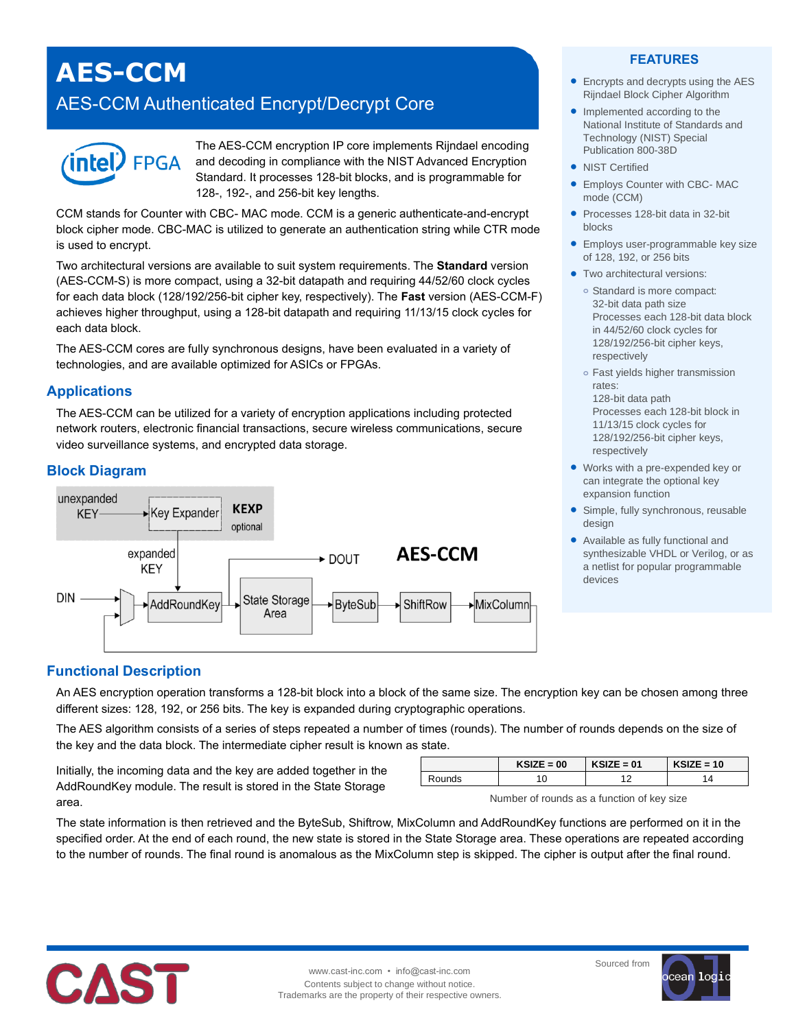# **AES-CCM**

# AES-CCM Authenticated Encrypt/Decrypt Core



The AES-CCM encryption IP core implements Rijndael encoding and decoding in compliance with the NIST Advanced Encryption Standard. It processes 128-bit blocks, and is programmable for 128-, 192-, and 256-bit key lengths.

CCM stands for Counter with CBC- MAC mode. CCM is a generic authenticate-and-encrypt block cipher mode. CBC-MAC is utilized to generate an authentication string while CTR mode is used to encrypt.

Two architectural versions are available to suit system requirements. The **Standard** version (AES-CCM-S) is more compact, using a 32-bit datapath and requiring 44/52/60 clock cycles for each data block (128/192/256-bit cipher key, respectively). The **Fast** version (AES-CCM-F) achieves higher throughput, using a 128-bit datapath and requiring 11/13/15 clock cycles for each data block.

The AES-CCM cores are fully synchronous designs, have been evaluated in a variety of technologies, and are available optimized for ASICs or FPGAs.

#### **Applications**

The AES-CCM can be utilized for a variety of encryption applications including protected network routers, electronic financial transactions, secure wireless communications, secure video surveillance systems, and encrypted data storage.

#### **Block Diagram**



#### **FEATURES**

- Encrypts and decrypts using the AES Rijndael Block Cipher Algorithm
- Implemented according to the National Institute of Standards and Technology (NIST) Special Publication 800-38D
- NIST Certified
- Employs Counter with CBC- MAC mode (CCM)
- Processes 128-bit data in 32-bit blocks
- **Employs user-programmable key size** of 128, 192, or 256 bits
- **•** Two architectural versions:
	- **o** Standard is more compact: 32-bit data path size Processes each 128-bit data block in 44/52/60 clock cycles for 128/192/256-bit cipher keys, respectively
	- **o** Fast yields higher transmission rates: 128-bit data path

Processes each 128-bit block in 11/13/15 clock cycles for 128/192/256-bit cipher keys, respectively

- Works with a pre-expended key or can integrate the optional key expansion function
- Simple, fully synchronous, reusable design
- Available as fully functional and synthesizable VHDL or Verilog, or as a netlist for popular programmable devices

#### **Functional Description**

An AES encryption operation transforms a 128-bit block into a block of the same size. The encryption key can be chosen among three different sizes: 128, 192, or 256 bits. The key is expanded during cryptographic operations.

The AES algorithm consists of a series of steps repeated a number of times (rounds). The number of rounds depends on the size of the key and the data block. The intermediate cipher result is known as state.

Initially, the incoming data and the key are added together in the AddRoundKey module. The result is stored in the State Storage area.

| $KSIZE = 00$ | $KSIZE = 01$ | $KSIZE = 10$ |
|--------------|--------------|--------------|
|              |              |              |

Number of rounds as a function of key size

The state information is then retrieved and the ByteSub, Shiftrow, MixColumn and AddRoundKey functions are performed on it in the specified order. At the end of each round, the new state is stored in the State Storage area. These operations are repeated according to the number of rounds. The final round is anomalous as the MixColumn step is skipped. The cipher is output after the final round.